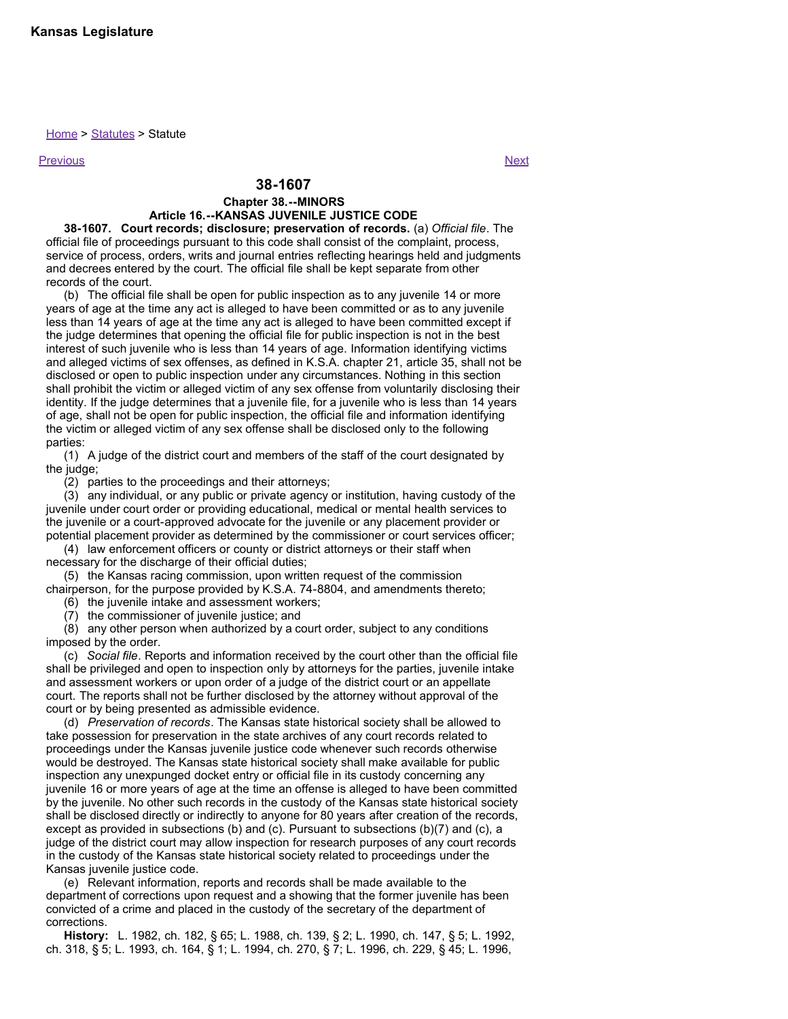## Home > Statutes > Statute

Previous Next

## **38-1607**

## **Chapter 38.--MINORS**

## **Article 16.--KANSAS JUVENILE JUSTICE CODE**

**38-1607. Court records; disclosure; preservation of records.** (a) *Official file*. The official file of proceedings pursuant to this code shall consist of the complaint, process, service of process, orders, writs and journal entries reflecting hearings held and judgments and decrees entered by the court. The official file shall be kept separate from other records of the court.

(b) The official file shall be open for public inspection as to any juvenile 14 or more years of age at the time any act is alleged to have been committed or as to any juvenile less than 14 years of age at the time any act is alleged to have been committed except if the judge determines that opening the official file for public inspection is not in the best interest of such juvenile who is less than 14 years of age. Information identifying victims and alleged victims of sex offenses, as defined in K.S.A. chapter 21, article 35, shall not be disclosed or open to public inspection under any circumstances. Nothing in this section shall prohibit the victim or alleged victim of any sex offense from voluntarily disclosing their identity. If the judge determines that a juvenile file, for a juvenile who is less than 14 years of age, shall not be open for public inspection, the official file and information identifying the victim or alleged victim of any sex offense shall be disclosed only to the following parties:

(1) A judge of the district court and members of the staff of the court designated by the judge;

(2) parties to the proceedings and their attorneys;

(3) any individual, or any public or private agency or institution, having custody of the juvenile under court order or providing educational, medical or mental health services to the juvenile or a court-approved advocate for the juvenile or any placement provider or potential placement provider as determined by the commissioner or court services officer;

(4) law enforcement officers or county or district attorneys or their staff when necessary for the discharge of their official duties;

(5) the Kansas racing commission, upon written request of the commission chairperson, for the purpose provided by K.S.A. 74-8804, and amendments thereto;

(6) the juvenile intake and assessment workers;

(7) the commissioner of juvenile justice; and

(8) any other person when authorized by a court order, subject to any conditions imposed by the order.

(c) *Social file*. Reports and information received by the court other than the official file shall be privileged and open to inspection only by attorneys for the parties, juvenile intake and assessment workers or upon order of a judge of the district court or an appellate court. The reports shall not be further disclosed by the attorney without approval of the court or by being presented as admissible evidence.

(d) *Preservation of records*. The Kansas state historical society shall be allowed to take possession for preservation in the state archives of any court records related to proceedings under the Kansas juvenile justice code whenever such records otherwise would be destroyed. The Kansas state historical society shall make available for public inspection any unexpunged docket entry or official file in its custody concerning any juvenile 16 or more years of age at the time an offense is alleged to have been committed by the juvenile. No other such records in the custody of the Kansas state historical society shall be disclosed directly or indirectly to anyone for 80 years after creation of the records, except as provided in subsections (b) and (c). Pursuant to subsections (b)(7) and (c), a judge of the district court may allow inspection for research purposes of any court records in the custody of the Kansas state historical society related to proceedings under the Kansas juvenile justice code.

(e) Relevant information, reports and records shall be made available to the department of corrections upon request and a showing that the former juvenile has been convicted of a crime and placed in the custody of the secretary of the department of corrections.

**History:** L. 1982, ch. 182, § 65; L. 1988, ch. 139, § 2; L. 1990, ch. 147, § 5; L. 1992, ch. 318, § 5; L. 1993, ch. 164, § 1; L. 1994, ch. 270, § 7; L. 1996, ch. 229, § 45; L. 1996,